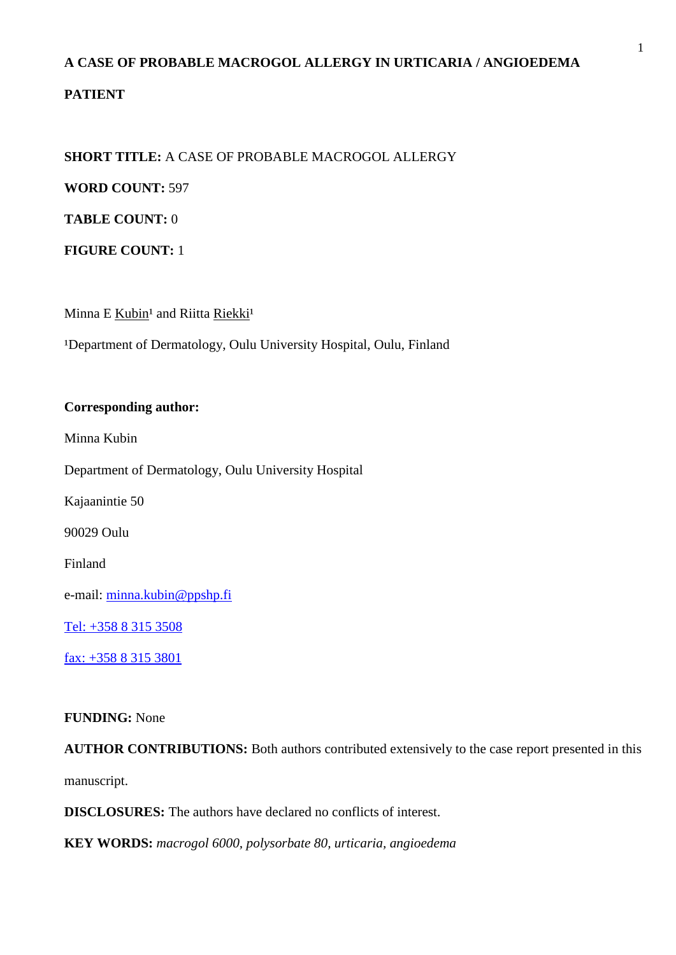# **A CASE OF PROBABLE MACROGOL ALLERGY IN URTICARIA / ANGIOEDEMA**

# **PATIENT**

## **SHORT TITLE:** A CASE OF PROBABLE MACROGOL ALLERGY

**WORD COUNT:** 597

**TABLE COUNT:** 0

**FIGURE COUNT:** 1

Minna E Kubin<sup>1</sup> and Riitta Riekki<sup>1</sup>

<sup>1</sup>Department of Dermatology, Oulu University Hospital, Oulu, Finland

#### **Corresponding author:**

Minna Kubin

Department of Dermatology, Oulu University Hospital

Kajaanintie 50

90029 Oulu

Finland

e-mail: [minna.kubin@ppshp.fi](mailto:minna.kubin@ppshp.fi)

Tel: +358 8 315 3508

fax: +358 8 315 3801

## **FUNDING:** None

**AUTHOR CONTRIBUTIONS:** Both authors contributed extensively to the case report presented in this manuscript.

**DISCLOSURES:** The authors have declared no conflicts of interest.

**KEY WORDS:** *macrogol 6000, polysorbate 80, urticaria, angioedema*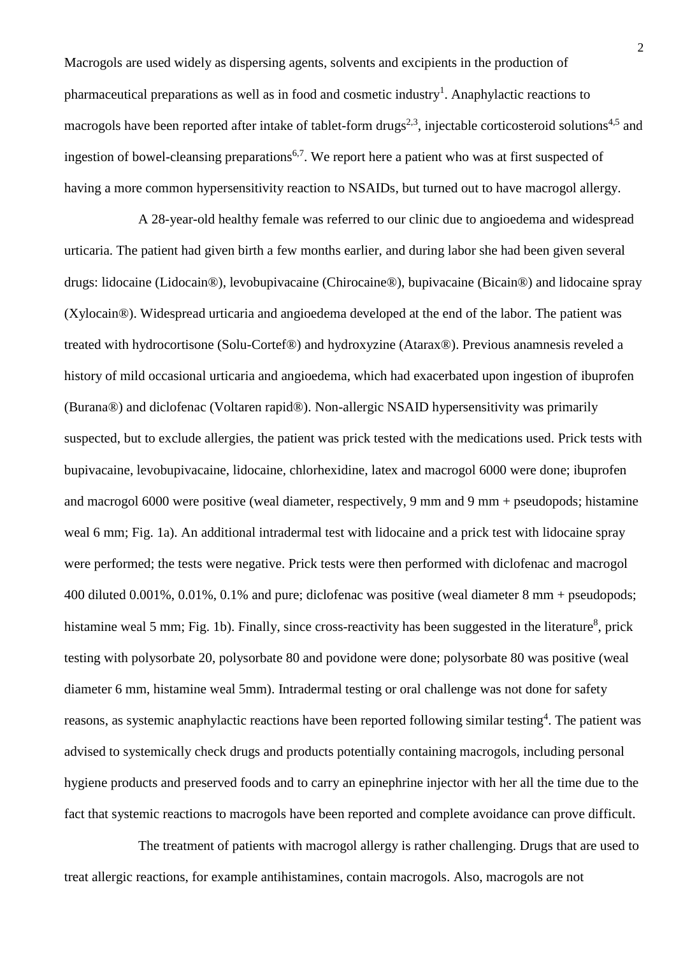Macrogols are used widely as dispersing agents, solvents and excipients in the production of pharmaceutical preparations as well as in food and cosmetic industry<sup>1</sup>. Anaphylactic reactions to macrogols have been reported after intake of tablet-form drugs<sup>2,3</sup>, injectable corticosteroid solutions<sup>4,5</sup> and ingestion of bowel-cleansing preparations<sup>6,7</sup>. We report here a patient who was at first suspected of having a more common hypersensitivity reaction to NSAIDs, but turned out to have macrogol allergy.

A 28-year-old healthy female was referred to our clinic due to angioedema and widespread urticaria. The patient had given birth a few months earlier, and during labor she had been given several drugs: lidocaine (Lidocain®), levobupivacaine (Chirocaine®), bupivacaine (Bicain®) and lidocaine spray (Xylocain®). Widespread urticaria and angioedema developed at the end of the labor. The patient was treated with hydrocortisone (Solu-Cortef®) and hydroxyzine (Atarax®). Previous anamnesis reveled a history of mild occasional urticaria and angioedema, which had exacerbated upon ingestion of ibuprofen (Burana®) and diclofenac (Voltaren rapid®). Non-allergic NSAID hypersensitivity was primarily suspected, but to exclude allergies, the patient was prick tested with the medications used. Prick tests with bupivacaine, levobupivacaine, lidocaine, chlorhexidine, latex and macrogol 6000 were done; ibuprofen and macrogol 6000 were positive (weal diameter, respectively, 9 mm and 9 mm + pseudopods; histamine weal 6 mm; Fig. 1a). An additional intradermal test with lidocaine and a prick test with lidocaine spray were performed; the tests were negative. Prick tests were then performed with diclofenac and macrogol 400 diluted 0.001%, 0.01%, 0.1% and pure; diclofenac was positive (weal diameter 8 mm + pseudopods; histamine weal 5 mm; Fig. 1b). Finally, since cross-reactivity has been suggested in the literature<sup>8</sup>, prick testing with polysorbate 20, polysorbate 80 and povidone were done; polysorbate 80 was positive (weal diameter 6 mm, histamine weal 5mm). Intradermal testing or oral challenge was not done for safety reasons, as systemic anaphylactic reactions have been reported following similar testing<sup>4</sup>. The patient was advised to systemically check drugs and products potentially containing macrogols, including personal hygiene products and preserved foods and to carry an epinephrine injector with her all the time due to the fact that systemic reactions to macrogols have been reported and complete avoidance can prove difficult.

The treatment of patients with macrogol allergy is rather challenging. Drugs that are used to treat allergic reactions, for example antihistamines, contain macrogols. Also, macrogols are not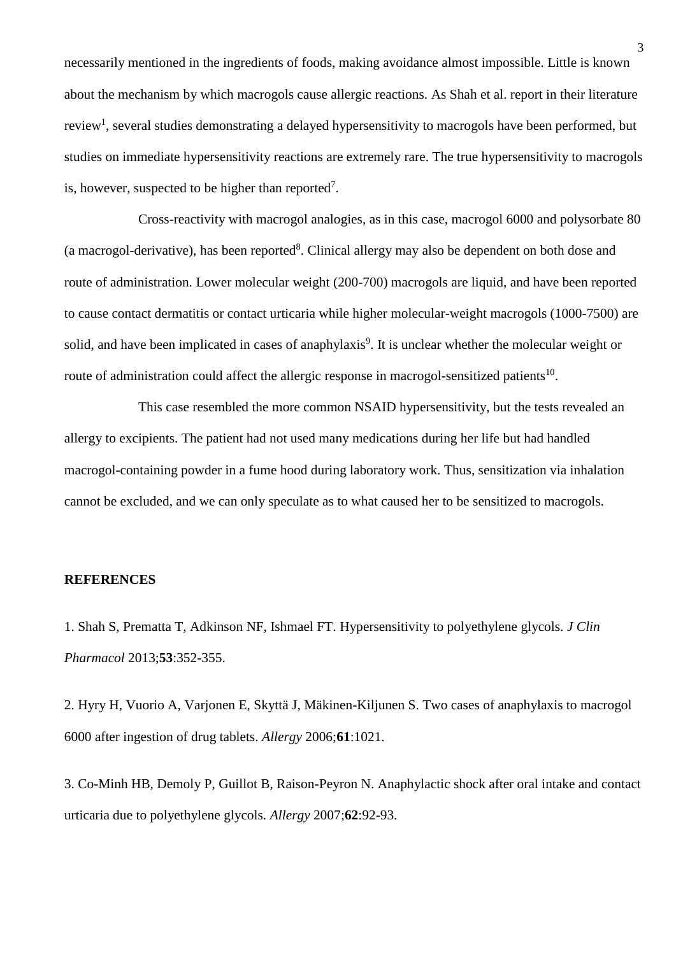necessarily mentioned in the ingredients of foods, making avoidance almost impossible. Little is known about the mechanism by which macrogols cause allergic reactions. As Shah et al. report in their literature review<sup>1</sup>, several studies demonstrating a delayed hypersensitivity to macrogols have been performed, but studies on immediate hypersensitivity reactions are extremely rare. The true hypersensitivity to macrogols is, however, suspected to be higher than reported<sup>7</sup>.

Cross-reactivity with macrogol analogies, as in this case, macrogol 6000 and polysorbate 80 (a macrogol-derivative), has been reported<sup>8</sup>. Clinical allergy may also be dependent on both dose and route of administration. Lower molecular weight (200-700) macrogols are liquid, and have been reported to cause contact dermatitis or contact urticaria while higher molecular-weight macrogols (1000-7500) are solid, and have been implicated in cases of anaphylaxis<sup>9</sup>. It is unclear whether the molecular weight or route of administration could affect the allergic response in macrogol-sensitized patients<sup>10</sup>.

This case resembled the more common NSAID hypersensitivity, but the tests revealed an allergy to excipients. The patient had not used many medications during her life but had handled macrogol-containing powder in a fume hood during laboratory work. Thus, sensitization via inhalation cannot be excluded, and we can only speculate as to what caused her to be sensitized to macrogols.

#### **REFERENCES**

1. Shah S, Prematta T, Adkinson NF, Ishmael FT. Hypersensitivity to polyethylene glycols. *J Clin Pharmacol* 2013;**53**:352-355.

2. Hyry H, Vuorio A, Varjonen E, Skyttä J, Mäkinen-Kiljunen S. Two cases of anaphylaxis to macrogol 6000 after ingestion of drug tablets. *Allergy* 2006;**61**:1021.

3. Co-Minh HB, Demoly P, Guillot B, Raison-Peyron N. Anaphylactic shock after oral intake and contact urticaria due to polyethylene glycols. *Allergy* 2007;**62**:92-93.